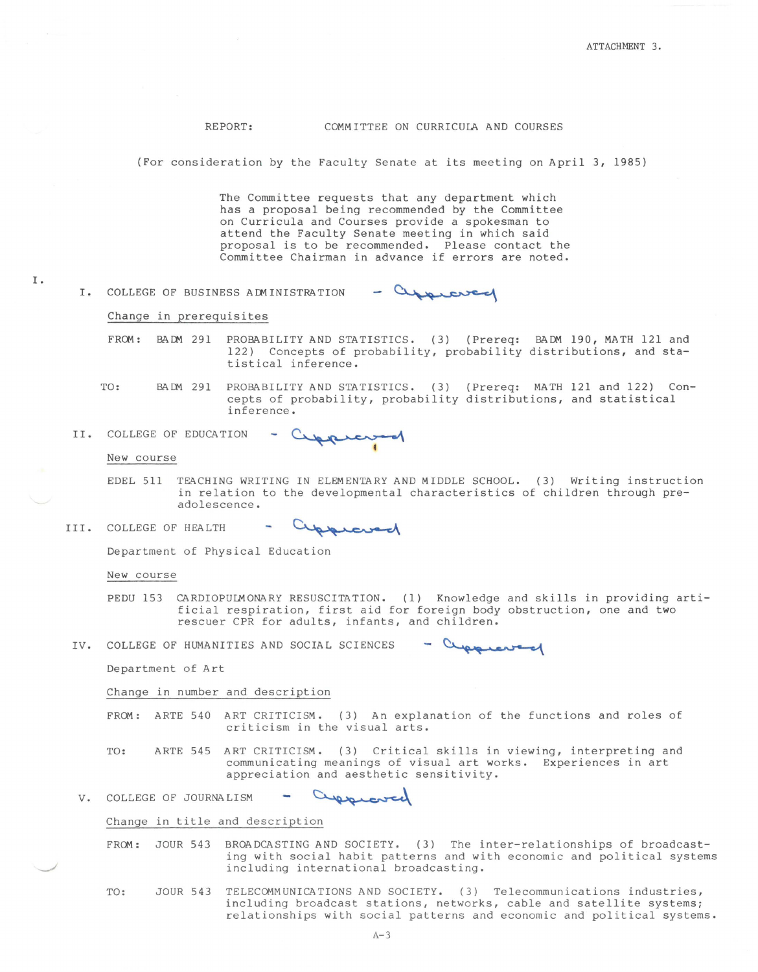REPORT: COMMITTEE ON CURRICULA AND COURSES

(For consideration by the Faculty Senate at its meeting on April 3, 1985)

The Committee requests that any department which has a proposal being recommended by the Committee on Curricula and Courses provide a spokesman to attend the Faculty Senate meeting in which said proposal is to be recommended. Please contact the Committee Chairman in advance if errors are noted.

I. COLLEGE OF BUSINESS ACMINISTRATION - approved

Change in prerequisites

- FROM: BADM 291 PROBABILITY AND STATISTICS. (3) (Prereq: BADM 190, MATH 121 and 122) Concepts of probability, probability distributions, and statistical inference.
- TO: BACM 291 PROBABILITY AND STATISTICS. (3) (Prereq: MATH 121 and 122) Concepts of probability, probability distributions, and statistical inference.
- Cappiersod II. COLLEGE OF EDUCATION

New course

I.

- EDEL 511 TEACHING WRITING IN ELEMENTARY AND MIDDLE SCHOOL. (3) Writing instruction in relation to the developmental characteristics of children through preadolescence.
- III. COLLEGE OF HEALTH

approved

Department of Physical Education

New course

- PEDU 153 CARDIOPULMONARY RESUSCITATION. (1) Knowledge and skills in providing artificial respiration, first aid for foreign body obstruction, one and two rescuer CPR for adults, infants, and children. ration, first aid for foreign body obstruction, c<br>for adults, infants, and children.<br>AND SOCIAL SCIENCES - Cuppleased
- IV. COLLEGE OF HUMANITIES

Department of Art

Change in number and description

FROM: ARTE 540 ART CRITICISM. (3) An explanation of the functions and roles of criticism in the visual arts.

TO: ARTE 545 ART CRITICISM. ( 3) Critical skills in viewing, interpreting and communicating meanings of visual art works. Experiences in art appreciation and aesthetic sensitivity.

approved V. COLLEGE OF JOURNALISM

Change in title and description

FROM: JOUR 543 BROADCASTING AND SOCIETY. (3) The inter-relationships of broadcasting with social habit patterns and with economic and political systems including international broadcasting.

TO: JOUR 543 TELECOMMUNICATIONS AND SOCIETY. (3) Telecommunications industries, including broadcast stations, networks, cable and satellite systems; relationships with social patterns and economic and political systems.